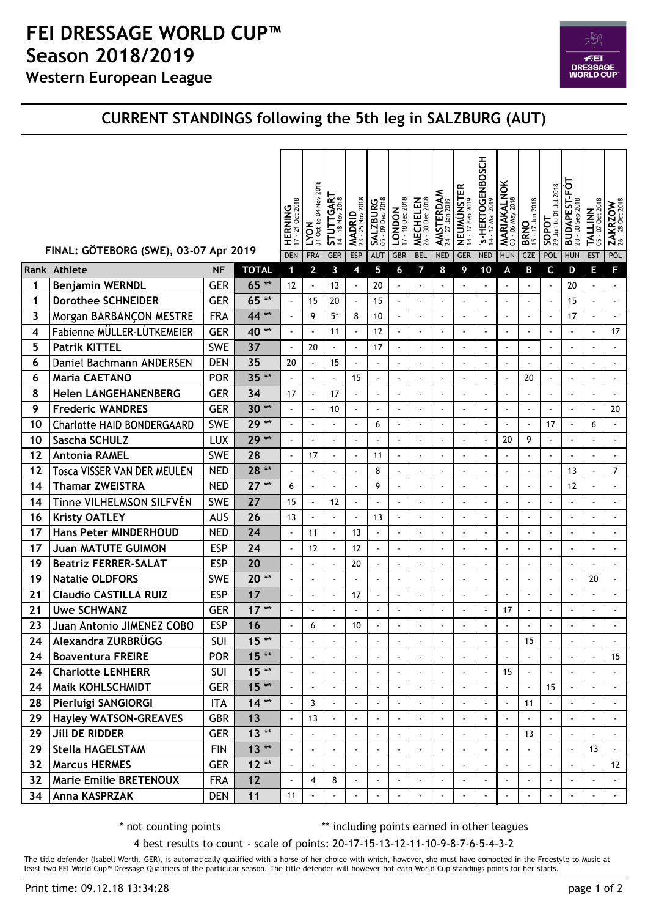## Western European League FEI DRESSAGE WORLD CUP™ Season 2018/2019



## CURRENT STANDINGS following the 5th leg in SALZBURG (AUT)

|    |                                       |            |              | <b>HERNING</b> | 2018<br>$\frac{LYON}{310ct to 04 Nov2}$ | STUTTGART<br>14 - 18 Nov 2018 | 2018<br>MADRID<br>23 - 25 Nov. | SALZBURG<br>05 - 09 Dec 2018 | $\boxed{\text{CNDON}}_{17 \text{ - } 18 \text{ Dec } 2018}$ | MECHELEN<br>26 - 30 Dec 2018 | <b>AMSTERDAM</b><br>24 - 27 Jan 2019 | NEUMÜNSTER<br>14 - 17 Feb 2019 | S-HERTOGENBOSCH | <b>MARIAKALNOK</b><br>03 - 06 May 2018 | 2018<br><b>BRNO</b> | Jun to 01 Jul 2018<br>$\frac{20}{10}$ | BUDAPEST-FÓT<br>28 - 30 Sep 2018 | <b>TALLINN</b><br>05 - 07 Oct 2018 | $\frac{\text{ZAKRZOW}}{26 \cdot 280 \text{ct } 2018}$ |
|----|---------------------------------------|------------|--------------|----------------|-----------------------------------------|-------------------------------|--------------------------------|------------------------------|-------------------------------------------------------------|------------------------------|--------------------------------------|--------------------------------|-----------------|----------------------------------------|---------------------|---------------------------------------|----------------------------------|------------------------------------|-------------------------------------------------------|
|    | FINAL: GÖTEBORG (SWE), 03-07 Apr 2019 |            |              | <b>DEN</b>     | <b>FRA</b>                              | GER                           | ESP                            | <b>AUT</b>                   | GBR                                                         | <b>BEL</b>                   | <b>NED</b>                           | GER                            | <b>NED</b>      | <b>HUN</b>                             | <b>CZE</b>          | POL                                   | <b>HUN</b>                       | <b>EST</b>                         | POL                                                   |
|    | Rank Athlete                          | <b>NF</b>  | <b>TOTAL</b> |                | $\overline{2}$                          | 3                             |                                | 5                            |                                                             | 7                            |                                      | 9                              | 10              | A                                      | B                   | C                                     | D                                | E                                  |                                                       |
|    | <b>Benjamin WERNDL</b>                | <b>GER</b> | 65 **        | 12             |                                         | 13                            |                                | 20                           | $\blacksquare$                                              | $\blacksquare$               |                                      |                                |                 |                                        |                     |                                       | 20                               | $\blacksquare$                     |                                                       |
|    | <b>Dorothee SCHNEIDER</b>             | <b>GER</b> | 65 **        | $\sim$         | 15                                      | 20                            |                                | 15                           | $\blacksquare$                                              | $\blacksquare$               | $\blacksquare$                       | $\sim$                         | $\sim$          |                                        |                     |                                       | 15                               | $\blacksquare$                     |                                                       |
| 3  | Morgan BARBANÇON MESTRE               | <b>FRA</b> | 44**         |                | 9                                       | $5*$                          | 8                              | 10                           | $\blacksquare$                                              | $\overline{\phantom{a}}$     | $\overline{\phantom{a}}$             |                                |                 |                                        |                     | $\blacksquare$                        | 17                               | $\blacksquare$                     |                                                       |
| 4  | Fabienne MÜLLER-LÜTKEMEIER            | <b>GER</b> | 40**         | $\sim$         |                                         | 11                            |                                | 12                           | $\blacksquare$                                              | $\blacksquare$               | $\overline{\phantom{a}}$             |                                | $\sim$          |                                        | $\blacksquare$      | $\blacksquare$                        | $\blacksquare$                   | $\blacksquare$                     | 17                                                    |
| 5  | <b>Patrik KITTEL</b>                  | <b>SWE</b> | 37           | $\sim$         | 20                                      |                               |                                | 17                           | $\blacksquare$                                              | $\blacksquare$               | $\overline{\phantom{a}}$             |                                | $\sim$          | $\sim$                                 | $\sim$              | $\blacksquare$                        | $\blacksquare$                   | $\blacksquare$                     |                                                       |
| 6  | Daniel Bachmann ANDERSEN              | <b>DEN</b> | 35           | $20\,$         |                                         | 15                            | $\overline{\phantom{a}}$       | $\blacksquare$               | $\blacksquare$                                              | $\blacksquare$               | $\overline{\phantom{a}}$             | $\overline{\phantom{a}}$       | $\sim$          |                                        |                     | $\blacksquare$                        | $\blacksquare$                   | $\blacksquare$                     |                                                       |
| 6  | <b>Maria CAETANO</b>                  | POR        | $35**$       | $\blacksquare$ |                                         | $\blacksquare$                | 15                             | $\blacksquare$               | $\blacksquare$                                              | $\overline{\phantom{a}}$     | $\blacksquare$                       | $\blacksquare$                 | $\sim$          | $\sim$                                 | 20                  |                                       | $\blacksquare$                   | $\blacksquare$                     | $\blacksquare$                                        |
| 8  | <b>Helen LANGEHANENBERG</b>           | <b>GER</b> | 34           | 17             |                                         | 17                            |                                | $\blacksquare$               | $\blacksquare$                                              | $\blacksquare$               | $\overline{\phantom{a}}$             |                                | $\sim$          |                                        | $\blacksquare$      |                                       | $\blacksquare$                   | $\blacksquare$                     |                                                       |
| 9  | <b>Frederic WANDRES</b>               | <b>GER</b> | $30**$       | $\sim$         |                                         | 10                            | $\blacksquare$                 | $\blacksquare$               | $\blacksquare$                                              | $\blacksquare$               | $\blacksquare$                       | $\overline{\phantom{a}}$       | $\sim$          |                                        | $\blacksquare$      | $\blacksquare$                        | $\blacksquare$                   | $\blacksquare$                     | 20                                                    |
| 10 | <b>Charlotte HAID BONDERGAARD</b>     | <b>SWE</b> | $29**$       | $\sim$         |                                         |                               | $\overline{\phantom{a}}$       | 6                            | $\blacksquare$                                              | $\overline{\phantom{a}}$     | $\sim$                               | $\overline{\phantom{a}}$       | $\sim$          |                                        |                     | 17                                    | $\blacksquare$                   | 6                                  |                                                       |
| 10 | Sascha SCHULZ                         | <b>LUX</b> | 29 **        |                |                                         |                               | $\blacksquare$                 | $\overline{\phantom{a}}$     | $\blacksquare$                                              | $\blacksquare$               | $\blacksquare$                       |                                | $\sim$          | 20                                     | 9                   |                                       | $\blacksquare$                   | $\overline{\phantom{a}}$           |                                                       |
| 12 | <b>Antonia RAMEL</b>                  | <b>SWE</b> | 28           | $\blacksquare$ | 17                                      | $\blacksquare$                | $\blacksquare$                 | 11                           | $\blacksquare$                                              | $\blacksquare$               | $\overline{\phantom{a}}$             | $\blacksquare$                 | $\sim$          |                                        | $\blacksquare$      | $\blacksquare$                        | $\blacksquare$                   | $\blacksquare$                     | ÷,                                                    |
| 12 | Tosca VISSER VAN DER MEULEN           | <b>NED</b> | 28 **        | $\sim$         |                                         | $\sim$                        | $\blacksquare$                 | 8                            | $\blacksquare$                                              | $\blacksquare$               | $\blacksquare$                       | $\blacksquare$                 | $\sim$          | $\sim$                                 | $\sim$              | $\blacksquare$                        | 13                               | $\blacksquare$                     | $\overline{7}$                                        |
| 14 | <b>Thamar ZWEISTRA</b>                | <b>NED</b> | $27**$       | 6              |                                         |                               | $\blacksquare$                 | 9                            | $\overline{\phantom{a}}$                                    | $\overline{\phantom{a}}$     | $\overline{\phantom{a}}$             | $\blacksquare$                 |                 |                                        |                     | $\blacksquare$                        | 12                               | $\blacksquare$                     |                                                       |
| 14 | Tinne VILHELMSON SILFVÉN              | <b>SWE</b> | 27           | 15             |                                         | 12                            | $\blacksquare$                 | $\blacksquare$               | $\blacksquare$                                              | $\blacksquare$               | $\overline{\phantom{a}}$             | $\overline{\phantom{a}}$       | $\blacksquare$  |                                        | $\blacksquare$      | $\blacksquare$                        | $\blacksquare$                   | $\blacksquare$                     |                                                       |
| 16 | <b>Kristy OATLEY</b>                  | <b>AUS</b> | 26           | 13             |                                         | $\blacksquare$                |                                | 13                           | $\blacksquare$                                              | $\blacksquare$               | $\sim$                               |                                | $\sim$          |                                        | $\sim$              |                                       | $\blacksquare$                   | $\blacksquare$                     |                                                       |
| 17 | <b>Hans Peter MINDERHOUD</b>          | <b>NED</b> | 24           | $\blacksquare$ | 11                                      | $\blacksquare$                | 13                             | $\blacksquare$               | $\blacksquare$                                              | $\blacksquare$               | $\blacksquare$                       | $\sim$                         | $\sim$          |                                        | $\blacksquare$      | $\blacksquare$                        | $\blacksquare$                   | $\blacksquare$                     | $\blacksquare$                                        |
| 17 | <b>Juan MATUTE GUIMON</b>             | <b>ESP</b> | 24           | $\blacksquare$ | 12                                      |                               | 12                             | $\overline{\phantom{a}}$     | $\blacksquare$                                              | $\overline{\phantom{a}}$     | $\sim$                               | $\overline{\phantom{a}}$       | $\sim$          | $\sim$                                 | $\blacksquare$      | $\blacksquare$                        | $\blacksquare$                   | $\blacksquare$                     | $\blacksquare$                                        |
| 19 | <b>Beatriz FERRER-SALAT</b>           | <b>ESP</b> | 20           | $\sim$         |                                         |                               | 20                             |                              | $\blacksquare$                                              | $\overline{a}$               | $\overline{\phantom{a}}$             |                                |                 |                                        |                     |                                       |                                  | $\blacksquare$                     |                                                       |
| 19 | <b>Natalie OLDFORS</b>                | <b>SWE</b> | $20**$       | $\sim$         | $\sim$                                  |                               | $\blacksquare$                 | $\blacksquare$               | $\blacksquare$                                              | $\blacksquare$               | $\sim$                               | $\sim$                         | $\sim$          |                                        | $\sim$              | $\sim$                                | $\blacksquare$                   | $20\,$                             |                                                       |
| 21 | <b>Claudio CASTILLA RUIZ</b>          | <b>ESP</b> | 17           | $\mathbf{r}$   | $\sim$                                  | $\sim$                        | 17                             | $\blacksquare$               | $\blacksquare$                                              | $\blacksquare$               | $\blacksquare$                       | $\sim$                         | $\sim$          |                                        | $\sim$              | $\blacksquare$                        | $\overline{\phantom{a}}$         | $\blacksquare$                     |                                                       |
| 21 | <b>Uwe SCHWANZ</b>                    | <b>GER</b> | $17**$       | $\blacksquare$ |                                         |                               |                                | $\blacksquare$               | $\blacksquare$                                              | $\overline{\phantom{a}}$     | $\sim$                               | $\blacksquare$                 | $\sim$          | 17                                     |                     | $\blacksquare$                        | $\blacksquare$                   | $\blacksquare$                     |                                                       |
| 23 | Juan Antonio JIMENEZ COBO             | <b>ESP</b> | 16           |                | 6                                       |                               | 10                             |                              | $\blacksquare$                                              |                              |                                      |                                |                 |                                        |                     |                                       | $\blacksquare$                   | $\blacksquare$                     |                                                       |
| 24 | Alexandra ZURBRÜGG                    | SUI        | $15**$       |                |                                         |                               |                                |                              | $\blacksquare$                                              |                              |                                      |                                |                 | $\sim$                                 | $15\,$              |                                       | $\blacksquare$                   | $\blacksquare$                     |                                                       |
| 24 | <b>Boaventura FREIRE</b>              | <b>POR</b> | $15**$       |                |                                         |                               |                                | $\blacksquare$               | $\blacksquare$                                              |                              |                                      |                                |                 |                                        |                     |                                       |                                  |                                    | 15                                                    |
| 24 | <b>Charlotte LENHERR</b>              | SUI        | $15**$       |                |                                         |                               |                                | $\blacksquare$               | $\blacksquare$                                              | $\blacksquare$               | $\blacksquare$                       |                                |                 | 15                                     |                     |                                       |                                  | $\tilde{\phantom{a}}$              |                                                       |
| 24 | <b>Maik KOHLSCHMIDT</b>               | <b>GER</b> | $15**$       |                |                                         |                               |                                |                              | $\blacksquare$                                              | $\blacksquare$               | $\sim$                               |                                |                 |                                        |                     | 15                                    |                                  |                                    |                                                       |
| 28 | Pierluigi SANGIORGI                   | <b>ITA</b> | $14**$       |                | 3                                       | $\sim$                        | $\blacksquare$                 | $\blacksquare$               | $\blacksquare$                                              | $\blacksquare$               | $\blacksquare$                       |                                |                 |                                        | 11                  | $\blacksquare$                        | $\blacksquare$                   | $\blacksquare$                     |                                                       |
| 29 | <b>Hayley WATSON-GREAVES</b>          | <b>GBR</b> | 13           |                | 13                                      |                               |                                |                              | $\overline{\phantom{a}}$                                    | $\blacksquare$               | $\blacksquare$                       |                                |                 |                                        |                     |                                       |                                  | $\blacksquare$                     |                                                       |
| 29 | <b>Jill DE RIDDER</b>                 | <b>GER</b> | $13**$       | $\mathbf{r}$   |                                         |                               |                                |                              | $\blacksquare$                                              | $\blacksquare$               | $\blacksquare$                       |                                |                 |                                        | 13                  |                                       |                                  |                                    |                                                       |
| 29 | Stella HAGELSTAM                      | <b>FIN</b> | $13**$       |                |                                         |                               |                                |                              | $\blacksquare$                                              | $\blacksquare$               | $\blacksquare$                       |                                |                 |                                        |                     |                                       |                                  | 13                                 |                                                       |
| 32 | <b>Marcus HERMES</b>                  | <b>GER</b> | $12**$       |                |                                         |                               |                                |                              | $\blacksquare$                                              | $\blacksquare$               | $\blacksquare$                       |                                |                 |                                        |                     |                                       |                                  | $\omega$                           | 12                                                    |
| 32 | <b>Marie Emilie BRETENOUX</b>         | <b>FRA</b> | 12           |                | 4                                       | 8                             |                                | $\blacksquare$               | $\blacksquare$                                              | $\blacksquare$               | $\blacksquare$                       |                                |                 |                                        |                     |                                       | $\blacksquare$                   | $\blacksquare$                     |                                                       |
|    | 34 Anna KASPRZAK                      | <b>DEN</b> | $11$         | 11             |                                         |                               |                                |                              | $\overline{\phantom{a}}$                                    |                              |                                      |                                |                 |                                        |                     |                                       |                                  |                                    |                                                       |

\* not counting points \*\*\* including points earned in other leagues

4 best results to count - scale of points: 20-17-15-13-12-11-10-9-8-7-6-5-4-3-2

The title defender (Isabell Werth, GER), is automatically qualified with a horse of her choice with which, however, she must have competed in the Freestyle to Music at least two FEI World Cup™ Dressage Qualifiers of the particular season. The title defender will however not earn World Cup standings points for her starts.